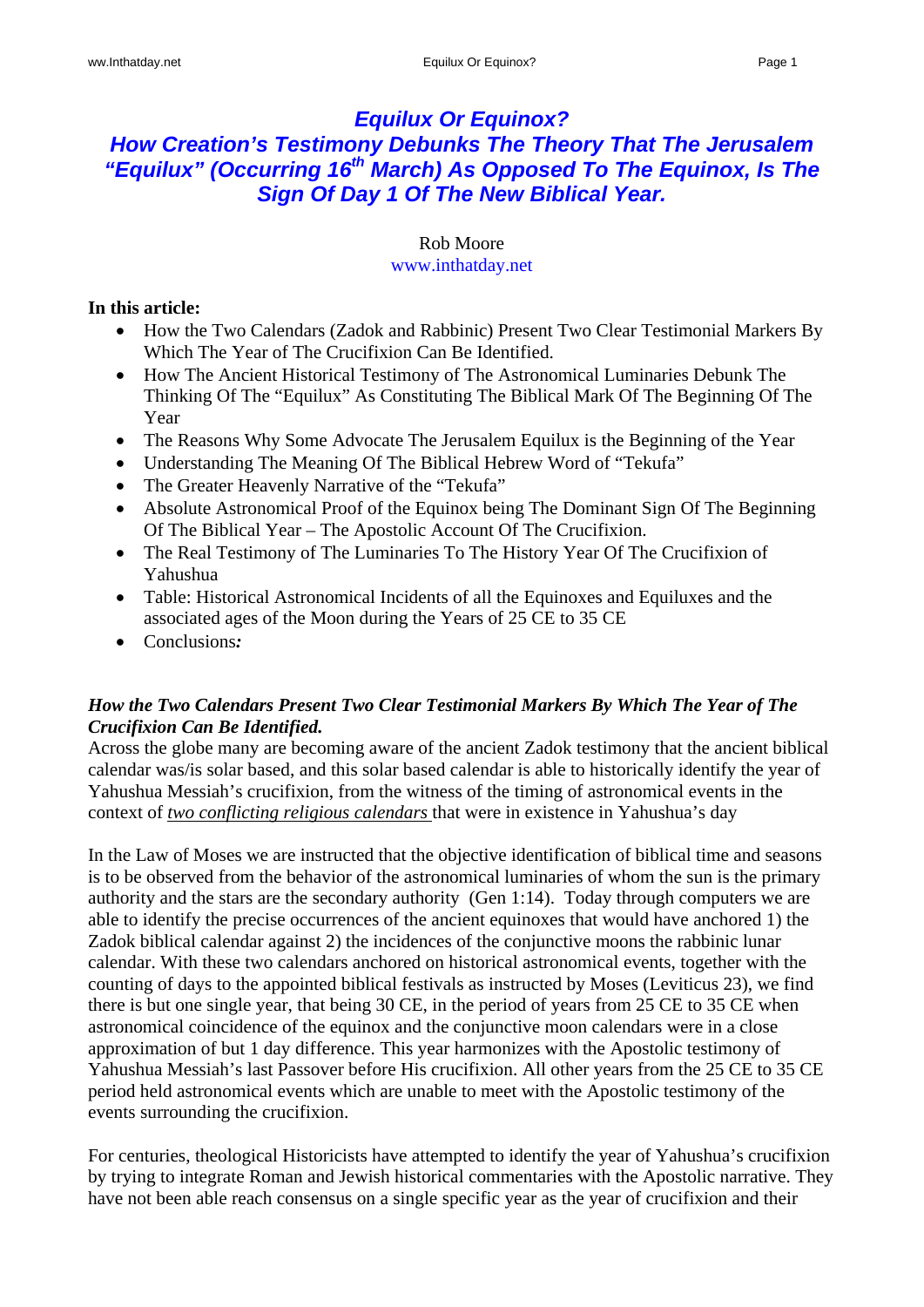# *Equilux Or Equinox? How Creation's Testimony Debunks The Theory That The Jerusalem*  "Equilux" (Occurring 16<sup>th</sup> March) As Opposed To The Equinox, Is The *Sign Of Day 1 Of The New Biblical Year.*

#### Rob Moore www.inthatday.net

# **In this article:**

- How the Two Calendars (Zadok and Rabbinic) Present Two Clear Testimonial Markers By Which The Year of The Crucifixion Can Be Identified.
- How The Ancient Historical Testimony of The Astronomical Luminaries Debunk The Thinking Of The "Equilux" As Constituting The Biblical Mark Of The Beginning Of The Year
- The Reasons Why Some Advocate The Jerusalem Equilux is the Beginning of the Year
- Understanding The Meaning Of The Biblical Hebrew Word of "Tekufa"
- The Greater Heavenly Narrative of the "Tekufa"
- Absolute Astronomical Proof of the Equinox being The Dominant Sign Of The Beginning Of The Biblical Year – The Apostolic Account Of The Crucifixion.
- The Real Testimony of The Luminaries To The History Year Of The Crucifixion of Yahushua
- Table: Historical Astronomical Incidents of all the Equinoxes and Equiluxes and the associated ages of the Moon during the Years of 25 CE to 35 CE
- Conclusions*:*

# *How the Two Calendars Present Two Clear Testimonial Markers By Which The Year of The Crucifixion Can Be Identified.*

Across the globe many are becoming aware of the ancient Zadok testimony that the ancient biblical calendar was/is solar based, and this solar based calendar is able to historically identify the year of Yahushua Messiah's crucifixion, from the witness of the timing of astronomical events in the context of *two conflicting religious calendars* that were in existence in Yahushua's day

In the Law of Moses we are instructed that the objective identification of biblical time and seasons is to be observed from the behavior of the astronomical luminaries of whom the sun is the primary authority and the stars are the secondary authority (Gen 1:14). Today through computers we are able to identify the precise occurrences of the ancient equinoxes that would have anchored 1) the Zadok biblical calendar against 2) the incidences of the conjunctive moons the rabbinic lunar calendar. With these two calendars anchored on historical astronomical events, together with the counting of days to the appointed biblical festivals as instructed by Moses (Leviticus 23), we find there is but one single year, that being 30 CE, in the period of years from 25 CE to 35 CE when astronomical coincidence of the equinox and the conjunctive moon calendars were in a close approximation of but 1 day difference. This year harmonizes with the Apostolic testimony of Yahushua Messiah's last Passover before His crucifixion. All other years from the 25 CE to 35 CE period held astronomical events which are unable to meet with the Apostolic testimony of the events surrounding the crucifixion.

For centuries, theological Historicists have attempted to identify the year of Yahushua's crucifixion by trying to integrate Roman and Jewish historical commentaries with the Apostolic narrative. They have not been able reach consensus on a single specific year as the year of crucifixion and their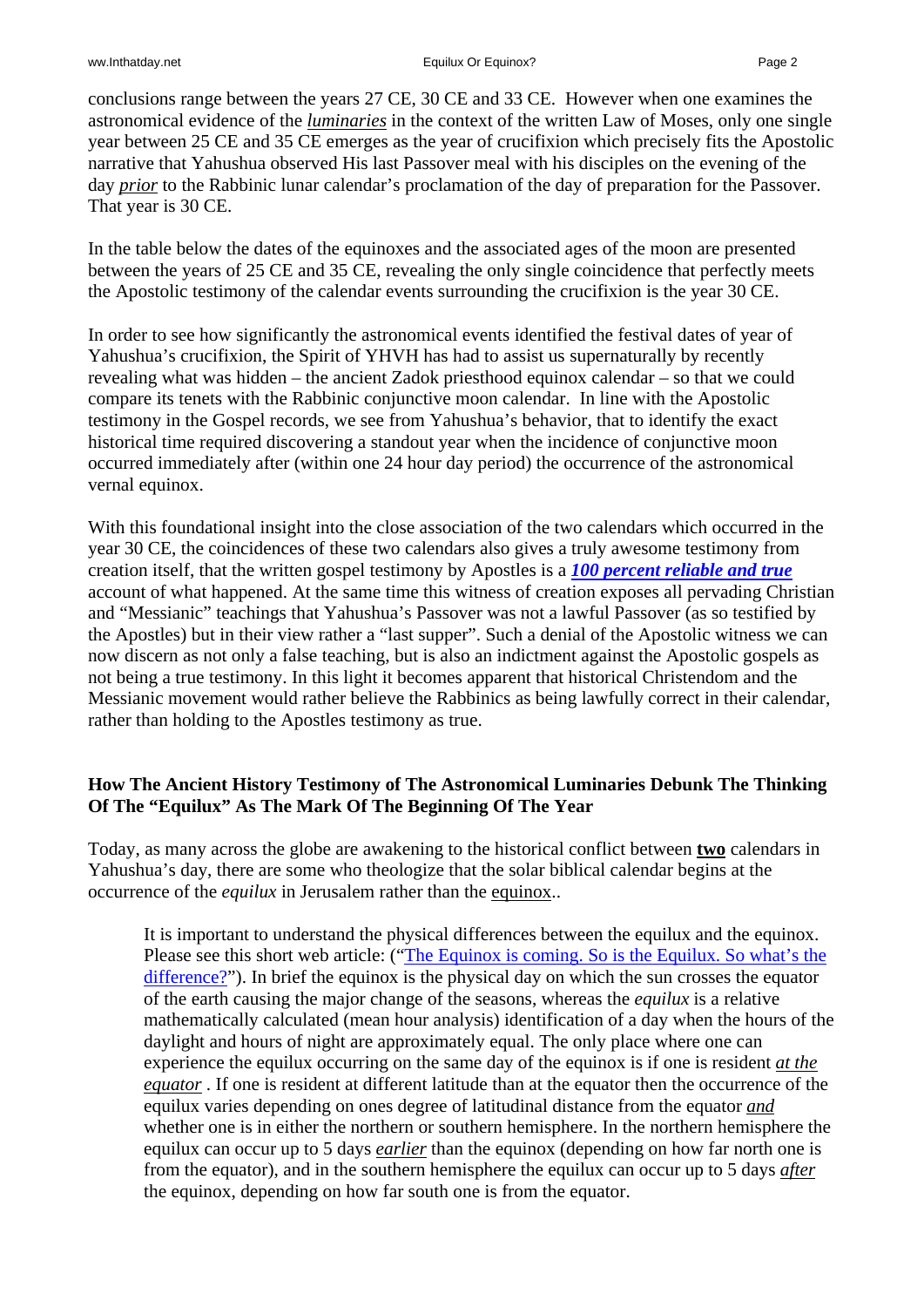conclusions range between the years 27 CE, 30 CE and 33 CE. However when one examines the astronomical evidence of the *luminaries* in the context of the written Law of Moses, only one single year between 25 CE and 35 CE emerges as the year of crucifixion which precisely fits the Apostolic narrative that Yahushua observed His last Passover meal with his disciples on the evening of the day *prior* to the Rabbinic lunar calendar's proclamation of the day of preparation for the Passover. That year is 30 CE.

In the table below the dates of the equinoxes and the associated ages of the moon are presented between the years of 25 CE and 35 CE, revealing the only single coincidence that perfectly meets the Apostolic testimony of the calendar events surrounding the crucifixion is the year 30 CE.

In order to see how significantly the astronomical events identified the festival dates of year of Yahushua's crucifixion, the Spirit of YHVH has had to assist us supernaturally by recently revealing what was hidden – the ancient Zadok priesthood equinox calendar – so that we could compare its tenets with the Rabbinic conjunctive moon calendar. In line with the Apostolic testimony in the Gospel records, we see from Yahushua's behavior, that to identify the exact historical time required discovering a standout year when the incidence of conjunctive moon occurred immediately after (within one 24 hour day period) the occurrence of the astronomical vernal equinox.

With this foundational insight into the close association of the two calendars which occurred in the year 30 CE, the coincidences of these two calendars also gives a truly awesome testimony from creation itself, that the written gospel testimony by Apostles is a *100 percent reliable and true* account of what happened. At the same time this witness of creation exposes all pervading Christian and "Messianic" teachings that Yahushua's Passover was not a lawful Passover (as so testified by the Apostles) but in their view rather a "last supper". Such a denial of the Apostolic witness we can now discern as not only a false teaching, but is also an indictment against the Apostolic gospels as not being a true testimony. In this light it becomes apparent that historical Christendom and the Messianic movement would rather believe the Rabbinics as being lawfully correct in their calendar, rather than holding to the Apostles testimony as true.

### **How The Ancient History Testimony of The Astronomical Luminaries Debunk The Thinking Of The "Equilux" As The Mark Of The Beginning Of The Year**

Today, as many across the globe are awakening to the historical conflict between **two** calendars in Yahushua's day, there are some who theologize that the solar biblical calendar begins at the occurrence of the *equilux* in Jerusalem rather than the equinox..

It is important to understand the physical differences between the equilux and the equinox. Please see this short web article: ("The Equinox is coming. So is the Equilux. So what's the [difference?"](http://pineriverobservatory.wordpress.com/2013/03/13/the-equinox-is-coming-so-is-the-equilux-so-whats-the-difference-about-four-days/)). In brief the equinox is the physical day on which the sun crosses the equator of the earth causing the major change of the seasons, whereas the *equilux* is a relative mathematically calculated (mean hour analysis) identification of a day when the hours of the daylight and hours of night are approximately equal. The only place where one can experience the equilux occurring on the same day of the equinox is if one is resident *at the equator* . If one is resident at different latitude than at the equator then the occurrence of the equilux varies depending on ones degree of latitudinal distance from the equator *and* whether one is in either the northern or southern hemisphere. In the northern hemisphere the equilux can occur up to 5 days *earlier* than the equinox (depending on how far north one is from the equator), and in the southern hemisphere the equilux can occur up to 5 days *after* the equinox, depending on how far south one is from the equator.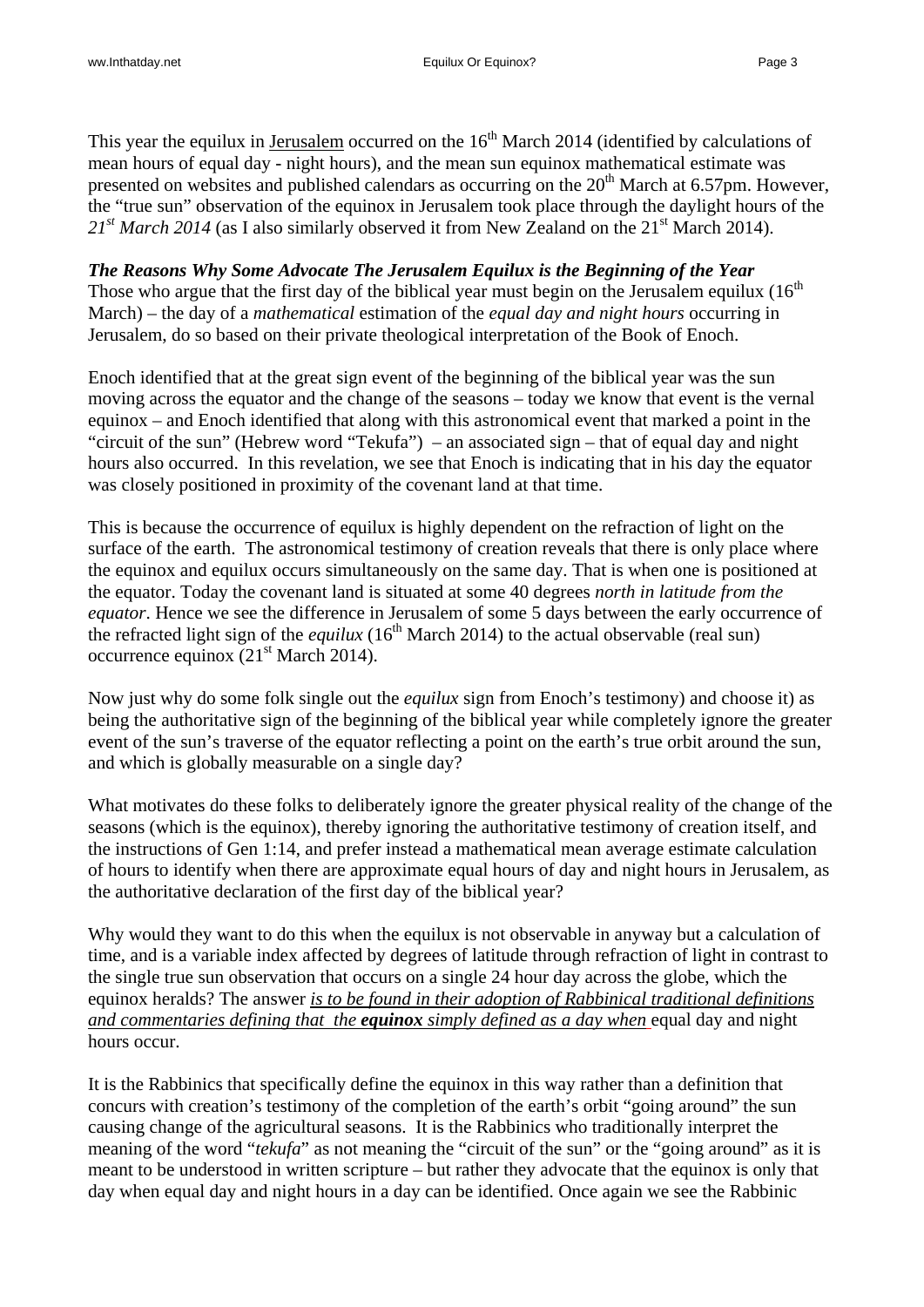This year the equilux in Jerusalem occurred on the  $16<sup>th</sup>$  March 2014 (identified by calculations of mean hours of equal day - night hours), and the mean sun equinox mathematical estimate was presented on websites and published calendars as occurring on the  $20<sup>th</sup>$  March at 6.57pm. However, the "true sun" observation of the equinox in Jerusalem took place through the daylight hours of the  $21<sup>st</sup> March 2014$  (as I also similarly observed it from New Zealand on the  $21<sup>st</sup> March 2014$ ).

*The Reasons Why Some Advocate The Jerusalem Equilux is the Beginning of the Year*  Those who argue that the first day of the biblical year must begin on the Jerusalem equilux  $(16<sup>th</sup>$ March) – the day of a *mathematical* estimation of the *equal day and night hours* occurring in Jerusalem, do so based on their private theological interpretation of the Book of Enoch.

Enoch identified that at the great sign event of the beginning of the biblical year was the sun moving across the equator and the change of the seasons – today we know that event is the vernal equinox – and Enoch identified that along with this astronomical event that marked a point in the "circuit of the sun" (Hebrew word "Tekufa") – an associated sign – that of equal day and night hours also occurred. In this revelation, we see that Enoch is indicating that in his day the equator was closely positioned in proximity of the covenant land at that time.

This is because the occurrence of equilux is highly dependent on the refraction of light on the surface of the earth. The astronomical testimony of creation reveals that there is only place where the equinox and equilux occurs simultaneously on the same day. That is when one is positioned at the equator. Today the covenant land is situated at some 40 degrees *north in latitude from the equator*. Hence we see the difference in Jerusalem of some 5 days between the early occurrence of the refracted light sign of the *equilux* (16<sup>th</sup> March 2014) to the actual observable (real sun) occurrence equinox  $(21<sup>st</sup> March 2014)$ .

Now just why do some folk single out the *equilux* sign from Enoch's testimony) and choose it) as being the authoritative sign of the beginning of the biblical year while completely ignore the greater event of the sun's traverse of the equator reflecting a point on the earth's true orbit around the sun, and which is globally measurable on a single day?

What motivates do these folks to deliberately ignore the greater physical reality of the change of the seasons (which is the equinox), thereby ignoring the authoritative testimony of creation itself, and the instructions of Gen 1:14, and prefer instead a mathematical mean average estimate calculation of hours to identify when there are approximate equal hours of day and night hours in Jerusalem, as the authoritative declaration of the first day of the biblical year?

Why would they want to do this when the equilux is not observable in anyway but a calculation of time, and is a variable index affected by degrees of latitude through refraction of light in contrast to the single true sun observation that occurs on a single 24 hour day across the globe, which the equinox heralds? The answer *is to be found in their adoption of Rabbinical traditional definitions and commentaries defining that the equinox simply defined as a day when* equal day and night hours occur.

It is the Rabbinics that specifically define the equinox in this way rather than a definition that concurs with creation's testimony of the completion of the earth's orbit "going around" the sun causing change of the agricultural seasons. It is the Rabbinics who traditionally interpret the meaning of the word "*tekufa*" as not meaning the "circuit of the sun" or the "going around" as it is meant to be understood in written scripture – but rather they advocate that the equinox is only that day when equal day and night hours in a day can be identified. Once again we see the Rabbinic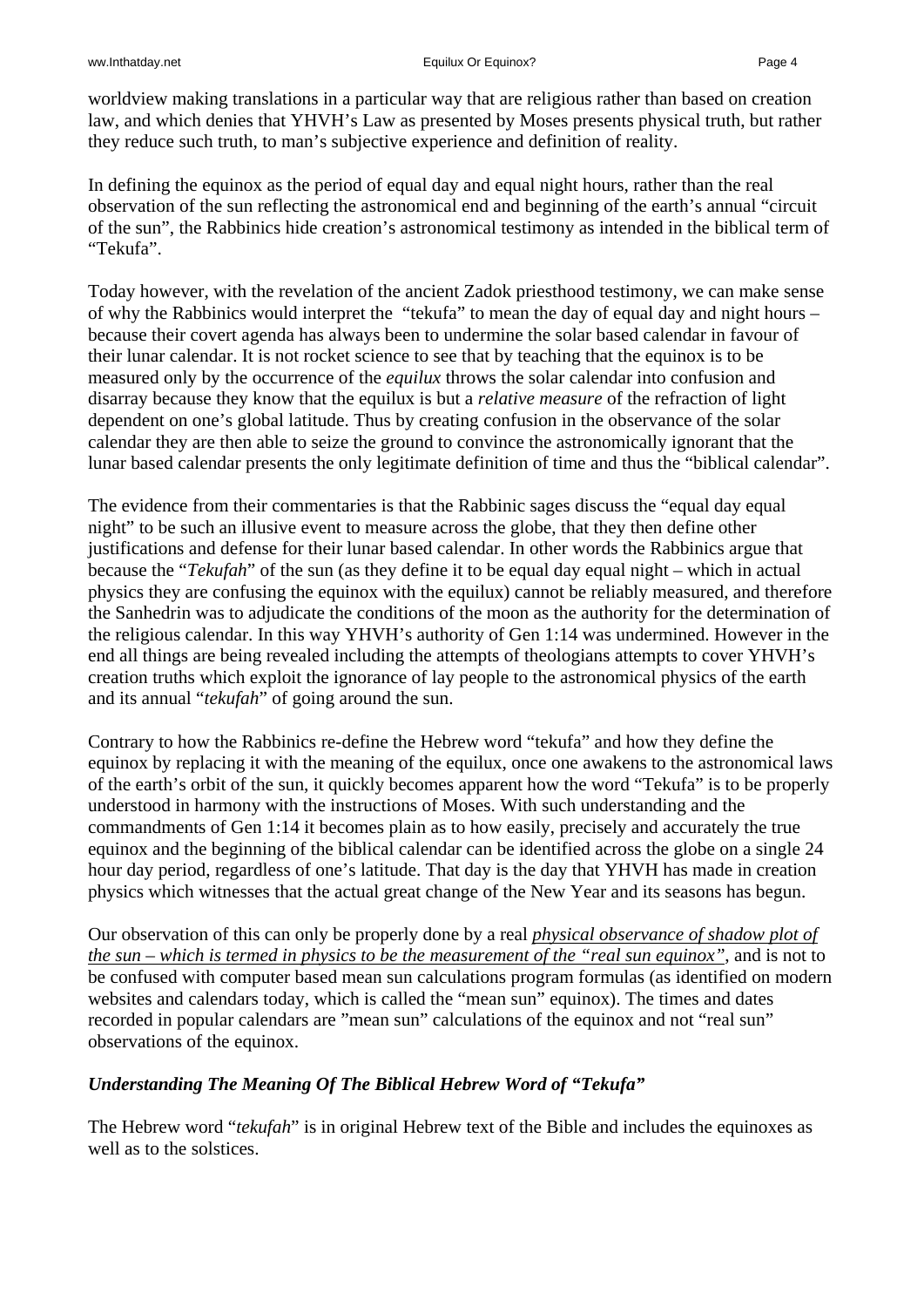worldview making translations in a particular way that are religious rather than based on creation law, and which denies that YHVH's Law as presented by Moses presents physical truth, but rather they reduce such truth, to man's subjective experience and definition of reality.

In defining the equinox as the period of equal day and equal night hours, rather than the real observation of the sun reflecting the astronomical end and beginning of the earth's annual "circuit of the sun", the Rabbinics hide creation's astronomical testimony as intended in the biblical term of "Tekufa".

Today however, with the revelation of the ancient Zadok priesthood testimony, we can make sense of why the Rabbinics would interpret the "tekufa" to mean the day of equal day and night hours – because their covert agenda has always been to undermine the solar based calendar in favour of their lunar calendar. It is not rocket science to see that by teaching that the equinox is to be measured only by the occurrence of the *equilux* throws the solar calendar into confusion and disarray because they know that the equilux is but a *relative measure* of the refraction of light dependent on one's global latitude. Thus by creating confusion in the observance of the solar calendar they are then able to seize the ground to convince the astronomically ignorant that the lunar based calendar presents the only legitimate definition of time and thus the "biblical calendar".

The evidence from their commentaries is that the Rabbinic sages discuss the "equal day equal night" to be such an illusive event to measure across the globe, that they then define other justifications and defense for their lunar based calendar. In other words the Rabbinics argue that because the "*Tekufah*" of the sun (as they define it to be equal day equal night – which in actual physics they are confusing the equinox with the equilux) cannot be reliably measured, and therefore the Sanhedrin was to adjudicate the conditions of the moon as the authority for the determination of the religious calendar. In this way YHVH's authority of Gen 1:14 was undermined. However in the end all things are being revealed including the attempts of theologians attempts to cover YHVH's creation truths which exploit the ignorance of lay people to the astronomical physics of the earth and its annual "*tekufah*" of going around the sun.

Contrary to how the Rabbinics re-define the Hebrew word "tekufa" and how they define the equinox by replacing it with the meaning of the equilux, once one awakens to the astronomical laws of the earth's orbit of the sun, it quickly becomes apparent how the word "Tekufa" is to be properly understood in harmony with the instructions of Moses. With such understanding and the commandments of Gen 1:14 it becomes plain as to how easily, precisely and accurately the true equinox and the beginning of the biblical calendar can be identified across the globe on a single 24 hour day period, regardless of one's latitude. That day is the day that YHVH has made in creation physics which witnesses that the actual great change of the New Year and its seasons has begun.

Our observation of this can only be properly done by a real *physical observance of shadow plot of the sun – which is termed in physics to be the measurement of the "real sun equinox"*, and is not to be confused with computer based mean sun calculations program formulas (as identified on modern websites and calendars today, which is called the "mean sun" equinox). The times and dates recorded in popular calendars are "mean sun" calculations of the equinox and not "real sun" observations of the equinox.

# *Understanding The Meaning Of The Biblical Hebrew Word of "Tekufa"*

The Hebrew word "*tekufah*" is in original Hebrew text of the Bible and includes the equinoxes as well as to the solstices.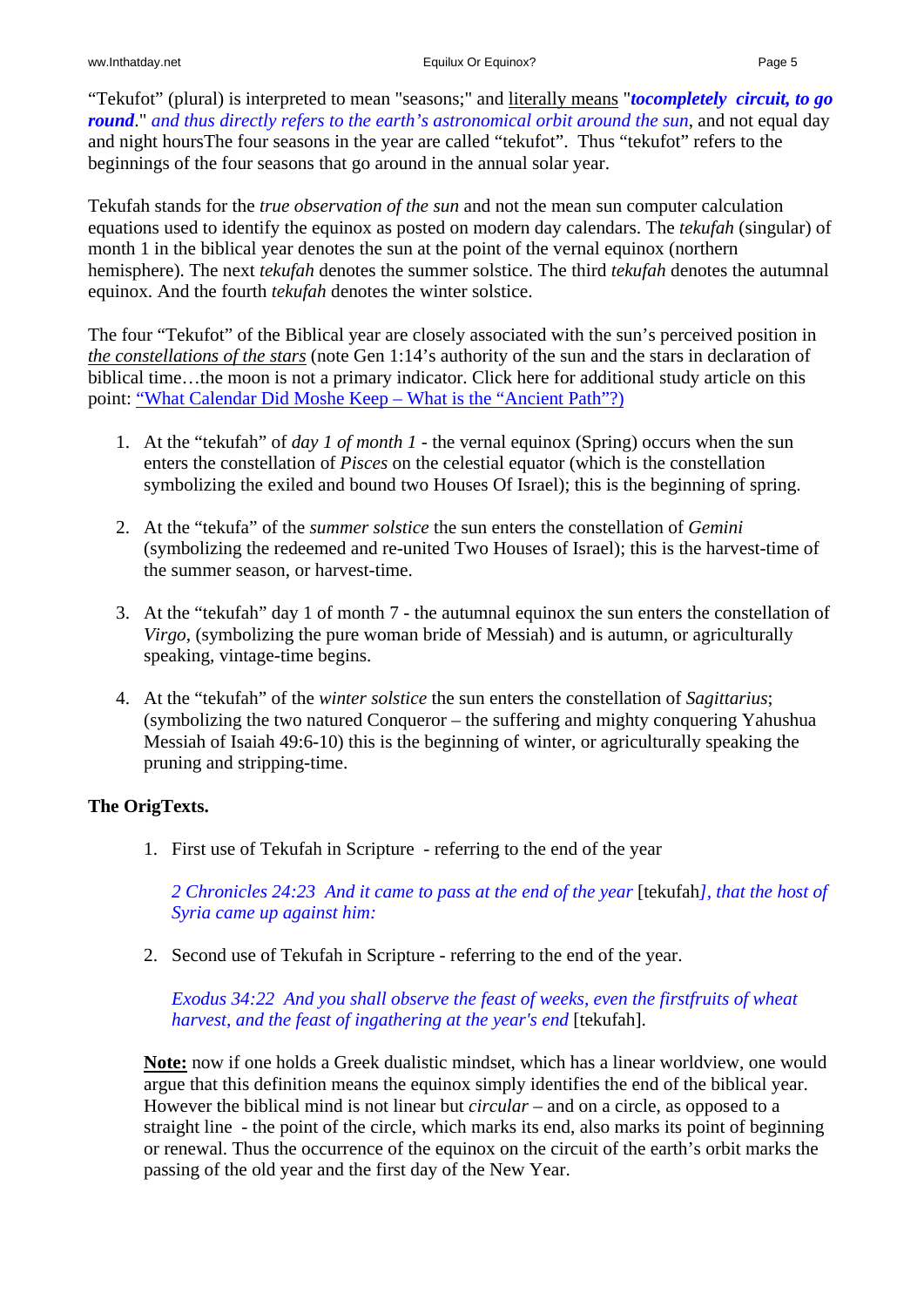"Tekufot" (plural) is interpreted to mean "seasons;" and literally means "*tocompletely circuit, to go round*." *and thus directly refers to the earth's astronomical orbit around the sun*, and not equal day and night hoursThe four seasons in the year are called "tekufot". Thus "tekufot" refers to the beginnings of the four seasons that go around in the annual solar year.

Tekufah stands for the *true observation of the sun* and not the mean sun computer calculation equations used to identify the equinox as posted on modern day calendars. The *tekufah* (singular) of month 1 in the biblical year denotes the sun at the point of the vernal equinox (northern hemisphere). The next *tekufah* denotes the summer solstice. The third *tekufah* denotes the autumnal equinox. And the fourth *tekufah* denotes the winter solstice.

The four "Tekufot" of the Biblical year are closely associated with the sun's perceived position in *the constellations of the stars* (note Gen 1:14's authority of the sun and the stars in declaration of biblical time…the moon is not a primary indicator. Click here for additional study article on this point: ["What Calendar Did Moshe Keep – What is the "Ancient Path"?\)](http://www.inthatday.net/wp-content/uploads/2013/archive/Watch/WhatCalendarDidMosheKeep.htm)

- 1. At the "tekufah" of *day 1 of month 1* the vernal equinox (Spring) occurs when the sun enters the constellation of *Pisces* on the celestial equator (which is the constellation symbolizing the exiled and bound two Houses Of Israel); this is the beginning of spring.
- 2. At the "tekufa" of the *summer solstice* the sun enters the constellation of *Gemini* (symbolizing the redeemed and re-united Two Houses of Israel); this is the harvest-time of the summer season, or harvest-time.
- 3. At the "tekufah" day 1 of month 7 the autumnal equinox the sun enters the constellation of *Virgo*, (symbolizing the pure woman bride of Messiah) and is autumn, or agriculturally speaking, vintage-time begins.
- 4. At the "tekufah" of the *winter solstice* the sun enters the constellation of *Sagittarius*; (symbolizing the two natured Conqueror – the suffering and mighty conquering Yahushua Messiah of Isaiah 49:6-10) this is the beginning of winter, or agriculturally speaking the pruning and stripping-time.

## **The OrigTexts.**

1. First use of Tekufah in Scripture - referring to the end of the year

*2 Chronicles 24:23 And it came to pass at the end of the year* [tekufah*], that the host of Syria came up against him:* 

2. Second use of Tekufah in Scripture - referring to the end of the year.

*Exodus 34:22 And you shall observe the feast of weeks, even the firstfruits of wheat harvest, and the feast of ingathering at the year's end* [tekufah].

**Note:** now if one holds a Greek dualistic mindset, which has a linear worldview, one would argue that this definition means the equinox simply identifies the end of the biblical year. However the biblical mind is not linear but *circular* – and on a circle, as opposed to a straight line - the point of the circle, which marks its end, also marks its point of beginning or renewal. Thus the occurrence of the equinox on the circuit of the earth's orbit marks the passing of the old year and the first day of the New Year.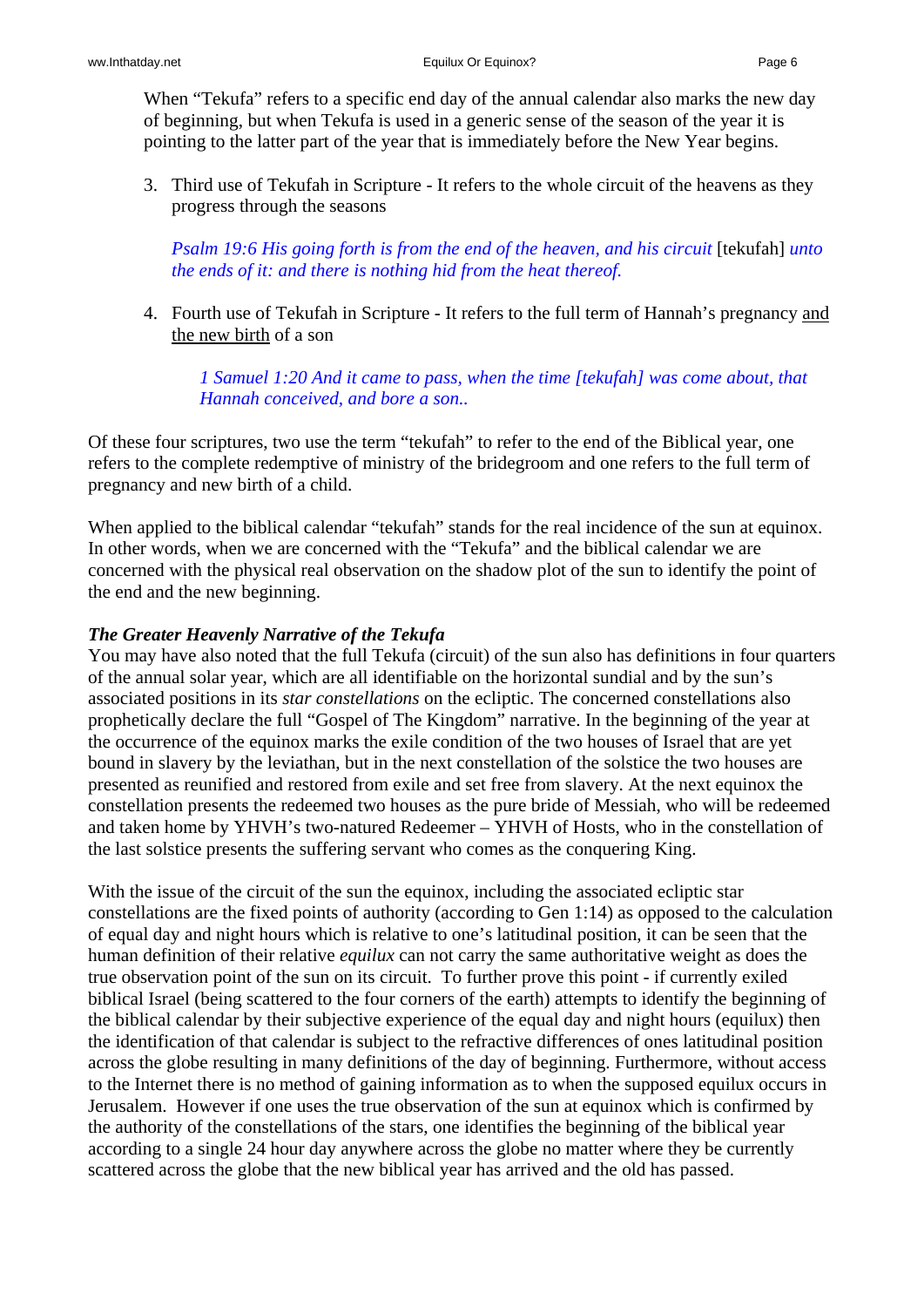When "Tekufa" refers to a specific end day of the annual calendar also marks the new day of beginning, but when Tekufa is used in a generic sense of the season of the year it is pointing to the latter part of the year that is immediately before the New Year begins.

3. Third use of Tekufah in Scripture - It refers to the whole circuit of the heavens as they progress through the seasons

*Psalm 19:6 His going forth is from the end of the heaven, and his circuit* [tekufah] *unto the ends of it: and there is nothing hid from the heat thereof.* 

4. Fourth use of Tekufah in Scripture - It refers to the full term of Hannah's pregnancy and the new birth of a son

*1 Samuel 1:20 And it came to pass, when the time [tekufah] was come about, that Hannah conceived, and bore a son..* 

Of these four scriptures, two use the term "tekufah" to refer to the end of the Biblical year, one refers to the complete redemptive of ministry of the bridegroom and one refers to the full term of pregnancy and new birth of a child.

When applied to the biblical calendar "tekufah" stands for the real incidence of the sun at equinox. In other words, when we are concerned with the "Tekufa" and the biblical calendar we are concerned with the physical real observation on the shadow plot of the sun to identify the point of the end and the new beginning.

### *The Greater Heavenly Narrative of the Tekufa*

You may have also noted that the full Tekufa (circuit) of the sun also has definitions in four quarters of the annual solar year, which are all identifiable on the horizontal sundial and by the sun's associated positions in its *star constellations* on the ecliptic. The concerned constellations also prophetically declare the full "Gospel of The Kingdom" narrative. In the beginning of the year at the occurrence of the equinox marks the exile condition of the two houses of Israel that are yet bound in slavery by the leviathan, but in the next constellation of the solstice the two houses are presented as reunified and restored from exile and set free from slavery. At the next equinox the constellation presents the redeemed two houses as the pure bride of Messiah, who will be redeemed and taken home by YHVH's two-natured Redeemer – YHVH of Hosts, who in the constellation of the last solstice presents the suffering servant who comes as the conquering King.

With the issue of the circuit of the sun the equinox, including the associated ecliptic star constellations are the fixed points of authority (according to Gen 1:14) as opposed to the calculation of equal day and night hours which is relative to one's latitudinal position, it can be seen that the human definition of their relative *equilux* can not carry the same authoritative weight as does the true observation point of the sun on its circuit. To further prove this point - if currently exiled biblical Israel (being scattered to the four corners of the earth) attempts to identify the beginning of the biblical calendar by their subjective experience of the equal day and night hours (equilux) then the identification of that calendar is subject to the refractive differences of ones latitudinal position across the globe resulting in many definitions of the day of beginning. Furthermore, without access to the Internet there is no method of gaining information as to when the supposed equilux occurs in Jerusalem. However if one uses the true observation of the sun at equinox which is confirmed by the authority of the constellations of the stars, one identifies the beginning of the biblical year according to a single 24 hour day anywhere across the globe no matter where they be currently scattered across the globe that the new biblical year has arrived and the old has passed.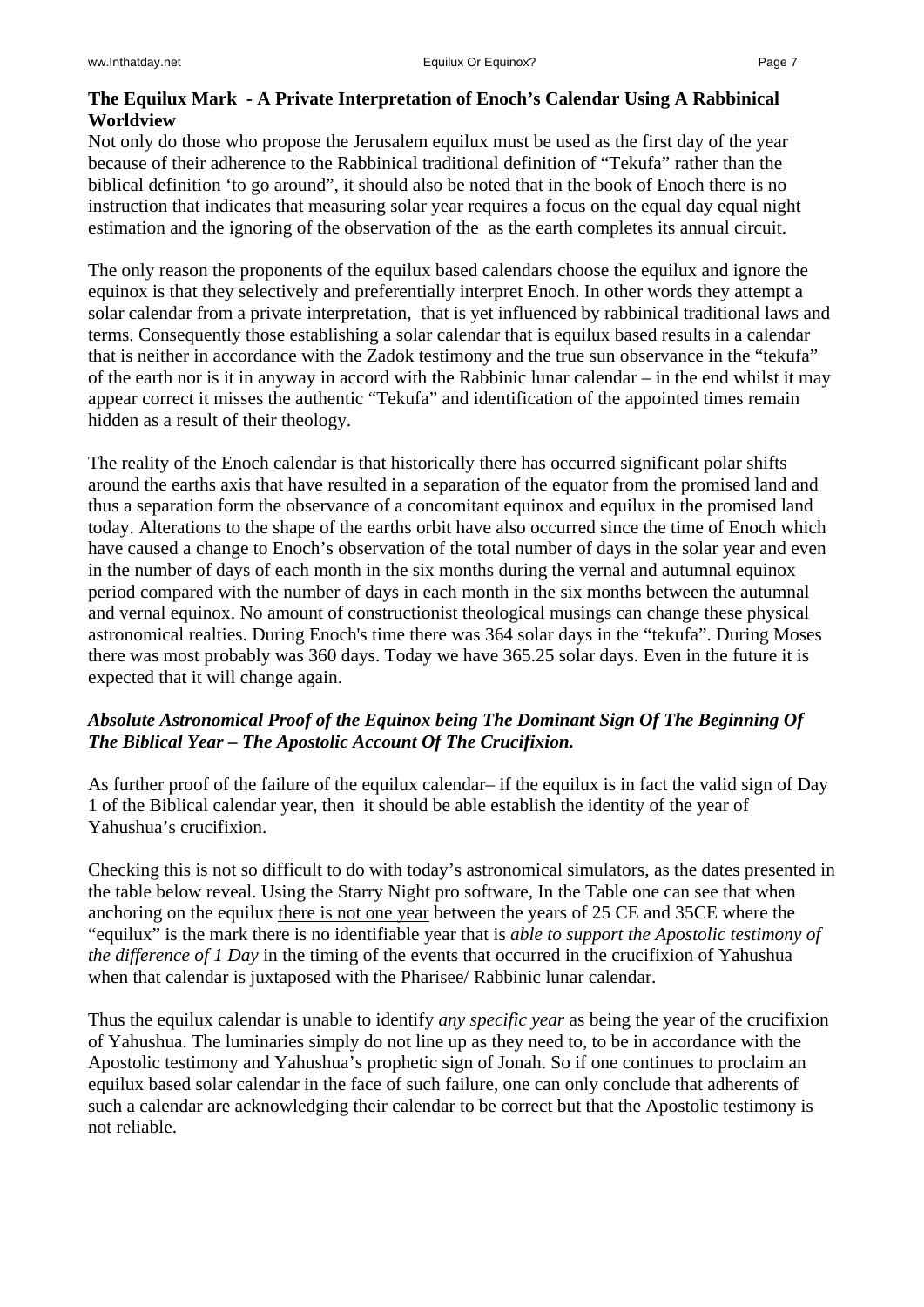# **The Equilux Mark - A Private Interpretation of Enoch's Calendar Using A Rabbinical Worldview**

Not only do those who propose the Jerusalem equilux must be used as the first day of the year because of their adherence to the Rabbinical traditional definition of "Tekufa" rather than the biblical definition 'to go around", it should also be noted that in the book of Enoch there is no instruction that indicates that measuring solar year requires a focus on the equal day equal night estimation and the ignoring of the observation of the as the earth completes its annual circuit.

The only reason the proponents of the equilux based calendars choose the equilux and ignore the equinox is that they selectively and preferentially interpret Enoch. In other words they attempt a solar calendar from a private interpretation, that is yet influenced by rabbinical traditional laws and terms. Consequently those establishing a solar calendar that is equilux based results in a calendar that is neither in accordance with the Zadok testimony and the true sun observance in the "tekufa" of the earth nor is it in anyway in accord with the Rabbinic lunar calendar – in the end whilst it may appear correct it misses the authentic "Tekufa" and identification of the appointed times remain hidden as a result of their theology.

The reality of the Enoch calendar is that historically there has occurred significant polar shifts around the earths axis that have resulted in a separation of the equator from the promised land and thus a separation form the observance of a concomitant equinox and equilux in the promised land today. Alterations to the shape of the earths orbit have also occurred since the time of Enoch which have caused a change to Enoch's observation of the total number of days in the solar year and even in the number of days of each month in the six months during the vernal and autumnal equinox period compared with the number of days in each month in the six months between the autumnal and vernal equinox. No amount of constructionist theological musings can change these physical astronomical realties. During Enoch's time there was 364 solar days in the "tekufa". During Moses there was most probably was 360 days. Today we have 365.25 solar days. Even in the future it is expected that it will change again.

# *Absolute Astronomical Proof of the Equinox being The Dominant Sign Of The Beginning Of The Biblical Year – The Apostolic Account Of The Crucifixion.*

As further proof of the failure of the equilux calendar– if the equilux is in fact the valid sign of Day 1 of the Biblical calendar year, then it should be able establish the identity of the year of Yahushua's crucifixion.

Checking this is not so difficult to do with today's astronomical simulators, as the dates presented in the table below reveal. Using the Starry Night pro software, In the Table one can see that when anchoring on the equilux there is not one year between the years of 25 CE and 35CE where the "equilux" is the mark there is no identifiable year that is *able to support the Apostolic testimony of the difference of 1 Day* in the timing of the events that occurred in the crucifixion of Yahushua when that calendar is juxtaposed with the Pharisee/ Rabbinic lunar calendar.

Thus the equilux calendar is unable to identify *any specific year* as being the year of the crucifixion of Yahushua. The luminaries simply do not line up as they need to, to be in accordance with the Apostolic testimony and Yahushua's prophetic sign of Jonah. So if one continues to proclaim an equilux based solar calendar in the face of such failure, one can only conclude that adherents of such a calendar are acknowledging their calendar to be correct but that the Apostolic testimony is not reliable.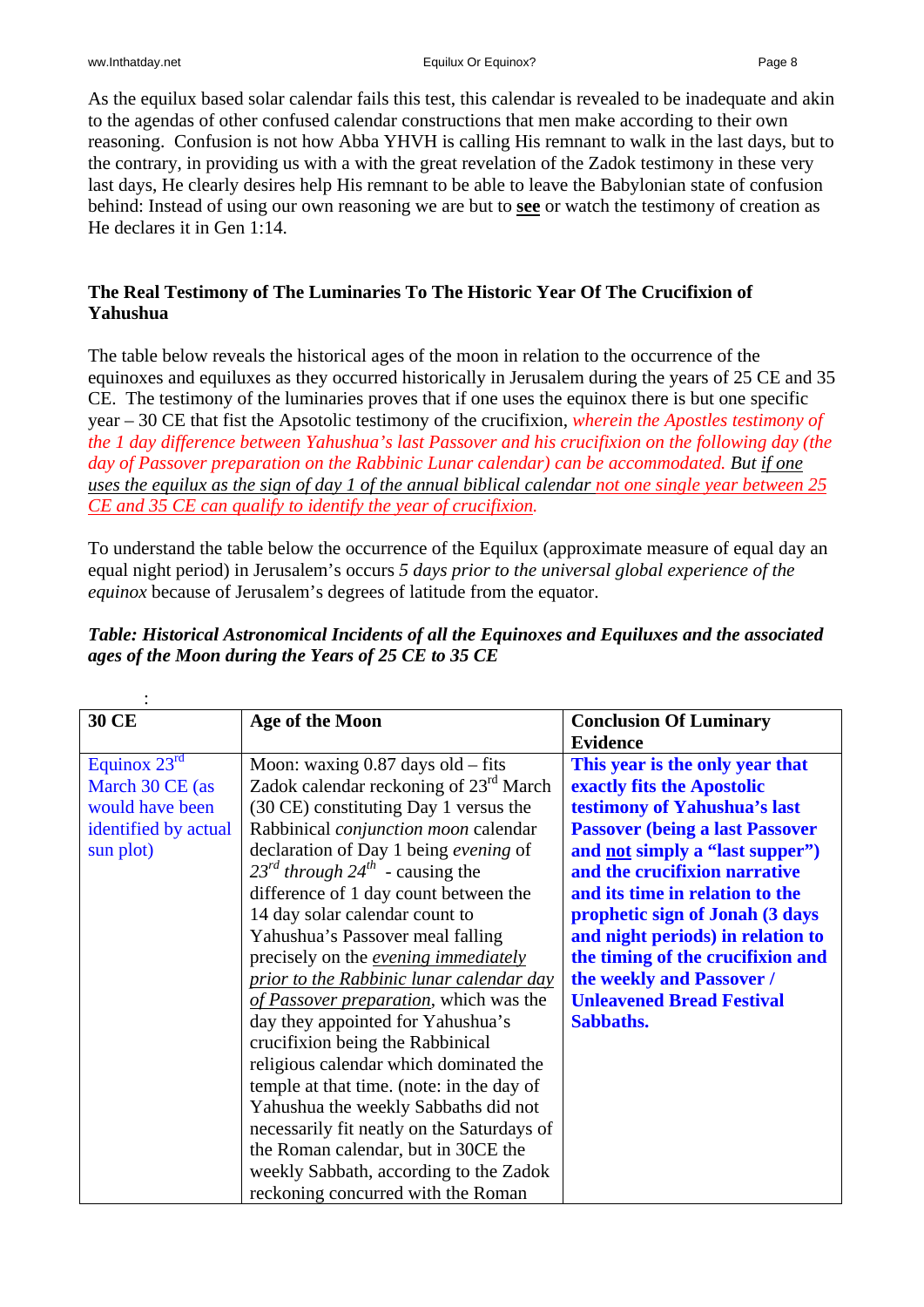As the equilux based solar calendar fails this test, this calendar is revealed to be inadequate and akin to the agendas of other confused calendar constructions that men make according to their own reasoning. Confusion is not how Abba YHVH is calling His remnant to walk in the last days, but to the contrary, in providing us with a with the great revelation of the Zadok testimony in these very last days, He clearly desires help His remnant to be able to leave the Babylonian state of confusion behind: Instead of using our own reasoning we are but to **see** or watch the testimony of creation as He declares it in Gen 1:14.

# **The Real Testimony of The Luminaries To The Historic Year Of The Crucifixion of Yahushua**

The table below reveals the historical ages of the moon in relation to the occurrence of the equinoxes and equiluxes as they occurred historically in Jerusalem during the years of 25 CE and 35 CE. The testimony of the luminaries proves that if one uses the equinox there is but one specific year – 30 CE that fist the Apsotolic testimony of the crucifixion, *wherein the Apostles testimony of the 1 day difference between Yahushua's last Passover and his crucifixion on the following day (the day of Passover preparation on the Rabbinic Lunar calendar) can be accommodated. But if one uses the equilux as the sign of day 1 of the annual biblical calendar not one single year between 25 CE and 35 CE can qualify to identify the year of crucifixion.*

To understand the table below the occurrence of the Equilux (approximate measure of equal day an equal night period) in Jerusalem's occurs *5 days prior to the universal global experience of the equinox* because of Jerusalem's degrees of latitude from the equator.

| <b>30 CE</b>                                                                                            | Age of the Moon                                                                                                                                                                                                                                                                                                                                                                                                                                                                                                                                                                                                                                                                                                                                                                                                                                                                              | <b>Conclusion Of Luminary</b><br><b>Evidence</b>                                                                                                                                                                                                                                                                                                                                                                                                  |  |  |
|---------------------------------------------------------------------------------------------------------|----------------------------------------------------------------------------------------------------------------------------------------------------------------------------------------------------------------------------------------------------------------------------------------------------------------------------------------------------------------------------------------------------------------------------------------------------------------------------------------------------------------------------------------------------------------------------------------------------------------------------------------------------------------------------------------------------------------------------------------------------------------------------------------------------------------------------------------------------------------------------------------------|---------------------------------------------------------------------------------------------------------------------------------------------------------------------------------------------------------------------------------------------------------------------------------------------------------------------------------------------------------------------------------------------------------------------------------------------------|--|--|
| Equinox $23^{\overline{rd}}$<br>March 30 CE (as<br>would have been<br>identified by actual<br>sun plot) | Moon: waxing 0.87 days old - fits<br>Zadok calendar reckoning of $23rd$ March<br>(30 CE) constituting Day 1 versus the<br>Rabbinical <i>conjunction moon</i> calendar<br>declaration of Day 1 being evening of<br>$23^{rd}$ through $24^{th}$ - causing the<br>difference of 1 day count between the<br>14 day solar calendar count to<br>Yahushua's Passover meal falling<br>precisely on the <i>evening immediately</i><br>prior to the Rabbinic lunar calendar day<br>of Passover preparation, which was the<br>day they appointed for Yahushua's<br>crucifixion being the Rabbinical<br>religious calendar which dominated the<br>temple at that time. (note: in the day of<br>Yahushua the weekly Sabbaths did not<br>necessarily fit neatly on the Saturdays of<br>the Roman calendar, but in 30CE the<br>weekly Sabbath, according to the Zadok<br>reckoning concurred with the Roman | This year is the only year that<br>exactly fits the Apostolic<br>testimony of Yahushua's last<br><b>Passover (being a last Passover)</b><br>and <u>not</u> simply a "last supper")<br>and the crucifixion narrative<br>and its time in relation to the<br>prophetic sign of Jonah (3 days<br>and night periods) in relation to<br>the timing of the crucifixion and<br>the weekly and Passover /<br><b>Unleavened Bread Festival</b><br>Sabbaths. |  |  |

## *Table: Historical Astronomical Incidents of all the Equinoxes and Equiluxes and the associated ages of the Moon during the Years of 25 CE to 35 CE*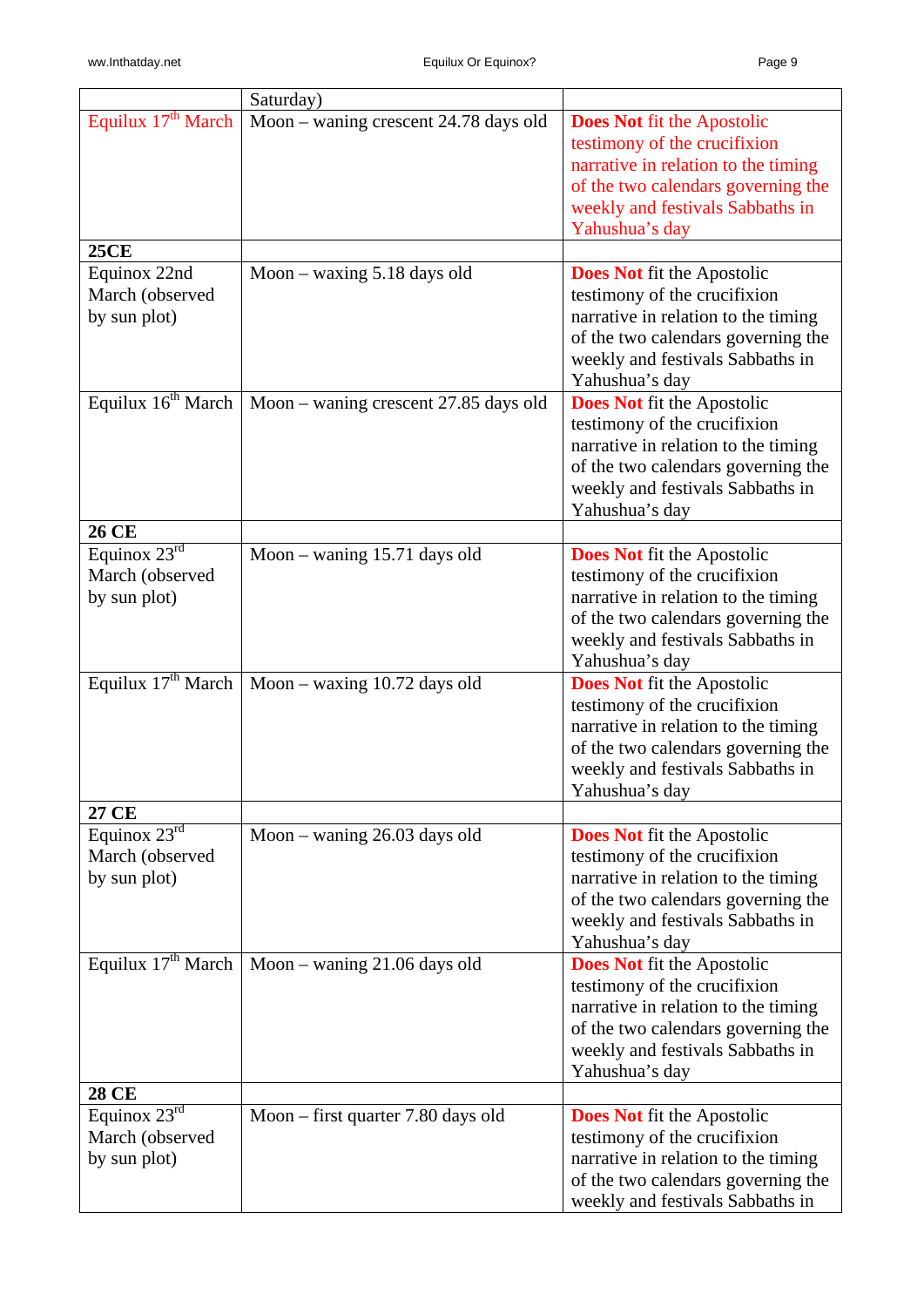|                                                             | Saturday)                                                       |                                                                                                                                                                                                      |
|-------------------------------------------------------------|-----------------------------------------------------------------|------------------------------------------------------------------------------------------------------------------------------------------------------------------------------------------------------|
| Equilux $17th$ March                                        | Moon – waning crescent $24.78$ days old                         | <b>Does Not fit the Apostolic</b><br>testimony of the crucifixion<br>narrative in relation to the timing<br>of the two calendars governing the<br>weekly and festivals Sabbaths in<br>Yahushua's day |
| <b>25CE</b>                                                 |                                                                 |                                                                                                                                                                                                      |
| Equinox 22nd<br>March (observed<br>by sun plot)             | Moon $-$ waxing 5.18 days old                                   | <b>Does Not fit the Apostolic</b><br>testimony of the crucifixion<br>narrative in relation to the timing<br>of the two calendars governing the<br>weekly and festivals Sabbaths in<br>Yahushua's day |
|                                                             | Equilux $16^{th}$ March   Moon – waning crescent 27.85 days old | <b>Does Not fit the Apostolic</b><br>testimony of the crucifixion<br>narrative in relation to the timing<br>of the two calendars governing the<br>weekly and festivals Sabbaths in<br>Yahushua's day |
| <b>26 CE</b>                                                |                                                                 |                                                                                                                                                                                                      |
| Equinox $23^{rd}$<br>March (observed<br>by sun plot)        | Moon – waning $15.71$ days old                                  | <b>Does Not</b> fit the Apostolic<br>testimony of the crucifixion<br>narrative in relation to the timing<br>of the two calendars governing the<br>weekly and festivals Sabbaths in<br>Yahushua's day |
| Equilux $17th$ March                                        | Moon – waxing $10.72$ days old                                  | <b>Does Not fit the Apostolic</b><br>testimony of the crucifixion<br>narrative in relation to the timing<br>of the two calendars governing the<br>weekly and festivals Sabbaths in<br>Yahushua's day |
| 27 CE                                                       |                                                                 |                                                                                                                                                                                                      |
| Equinox $23^{rd}$<br>March (observed<br>by sun plot)        | Moon – waning $26.03$ days old                                  | <b>Does Not</b> fit the Apostolic<br>testimony of the crucifixion<br>narrative in relation to the timing<br>of the two calendars governing the<br>weekly and festivals Sabbaths in<br>Yahushua's day |
| Equilux $17th$ March                                        | Moon - waning 21.06 days old                                    | <b>Does Not</b> fit the Apostolic<br>testimony of the crucifixion<br>narrative in relation to the timing<br>of the two calendars governing the<br>weekly and festivals Sabbaths in<br>Yahushua's day |
| <b>28 CE</b>                                                |                                                                 |                                                                                                                                                                                                      |
| Equinox $23^{\text{rd}}$<br>March (observed<br>by sun plot) | Moon – first quarter 7.80 days old                              | <b>Does Not</b> fit the Apostolic<br>testimony of the crucifixion<br>narrative in relation to the timing<br>of the two calendars governing the<br>weekly and festivals Sabbaths in                   |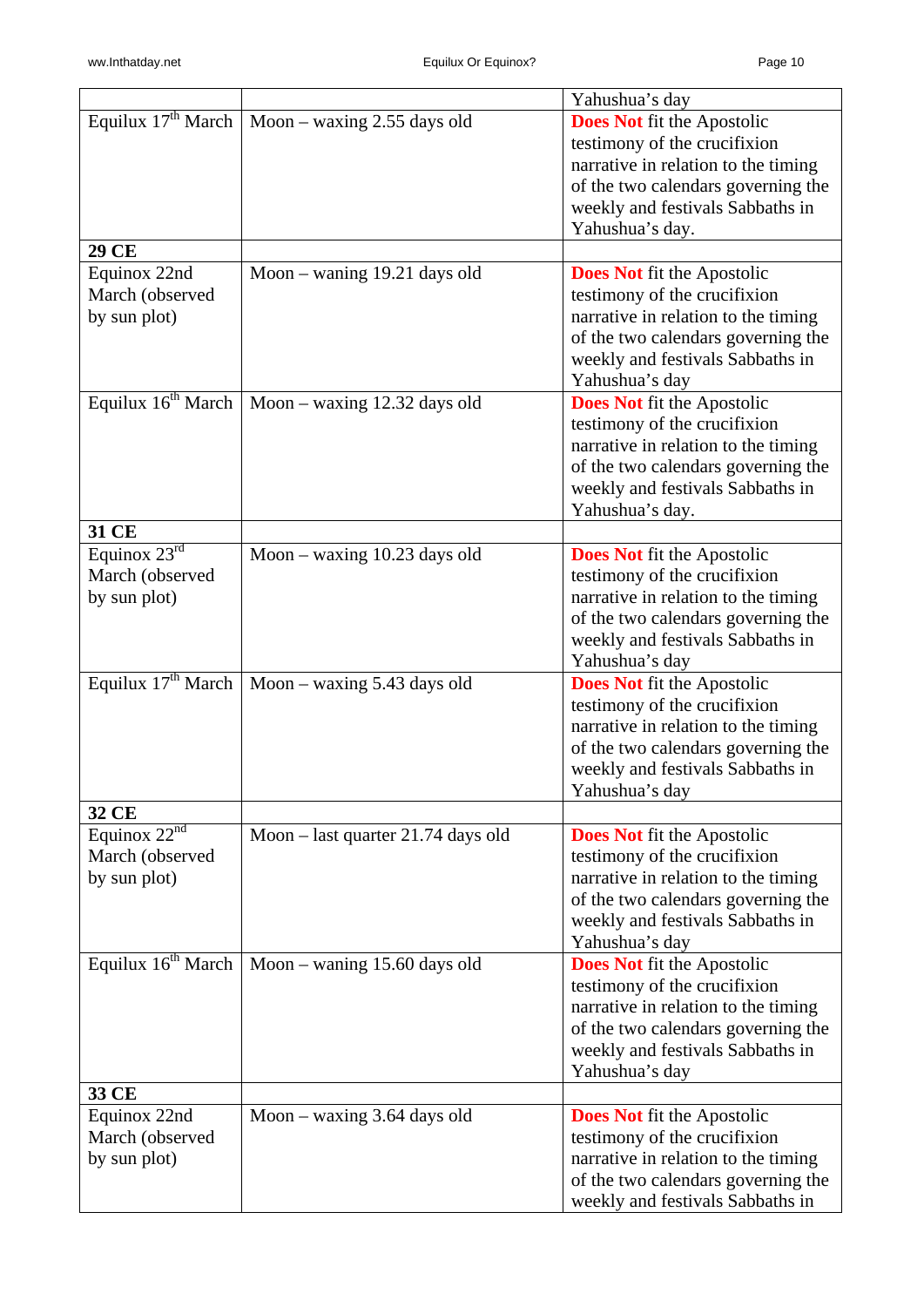|                                                      |                                                       | Yahushua's day                                                                                                                                                                                        |
|------------------------------------------------------|-------------------------------------------------------|-------------------------------------------------------------------------------------------------------------------------------------------------------------------------------------------------------|
|                                                      | Equilux $17^{th}$ March   Moon – waxing 2.55 days old | <b>Does Not fit the Apostolic</b><br>testimony of the crucifixion<br>narrative in relation to the timing<br>of the two calendars governing the<br>weekly and festivals Sabbaths in<br>Yahushua's day. |
| 29 CE                                                |                                                       |                                                                                                                                                                                                       |
| Equinox 22nd<br>March (observed<br>by sun plot)      | Moon - waning 19.21 days old                          | <b>Does Not</b> fit the Apostolic<br>testimony of the crucifixion<br>narrative in relation to the timing<br>of the two calendars governing the<br>weekly and festivals Sabbaths in<br>Yahushua's day  |
| Equilux $16^{th}$ March                              | Moon – waxing $12.32$ days old                        | <b>Does Not fit the Apostolic</b><br>testimony of the crucifixion<br>narrative in relation to the timing<br>of the two calendars governing the<br>weekly and festivals Sabbaths in<br>Yahushua's day. |
| 31 CE                                                |                                                       |                                                                                                                                                                                                       |
| Equinox $23^{rd}$<br>March (observed<br>by sun plot) | Moon - waxing 10.23 days old                          | <b>Does Not fit the Apostolic</b><br>testimony of the crucifixion<br>narrative in relation to the timing<br>of the two calendars governing the<br>weekly and festivals Sabbaths in<br>Yahushua's day  |
|                                                      | Equilux $17^{th}$ March   Moon – waxing 5.43 days old | <b>Does Not</b> fit the Apostolic<br>testimony of the crucifixion<br>narrative in relation to the timing<br>of the two calendars governing the<br>weekly and festivals Sabbaths in<br>Yahushua's day  |
| 32 CE                                                |                                                       |                                                                                                                                                                                                       |
| Equinox $22^{nd}$<br>March (observed<br>by sun plot) | Moon – last quarter 21.74 days old                    | <b>Does Not</b> fit the Apostolic<br>testimony of the crucifixion<br>narrative in relation to the timing<br>of the two calendars governing the<br>weekly and festivals Sabbaths in<br>Yahushua's day  |
| Equilux $16^{th}$ March                              | Moon - waning 15.60 days old                          | <b>Does Not</b> fit the Apostolic<br>testimony of the crucifixion<br>narrative in relation to the timing<br>of the two calendars governing the<br>weekly and festivals Sabbaths in<br>Yahushua's day  |
| 33 CE                                                |                                                       |                                                                                                                                                                                                       |
| Equinox 22nd<br>March (observed<br>by sun plot)      | Moon – waxing $3.64$ days old                         | <b>Does Not</b> fit the Apostolic<br>testimony of the crucifixion<br>narrative in relation to the timing<br>of the two calendars governing the<br>weekly and festivals Sabbaths in                    |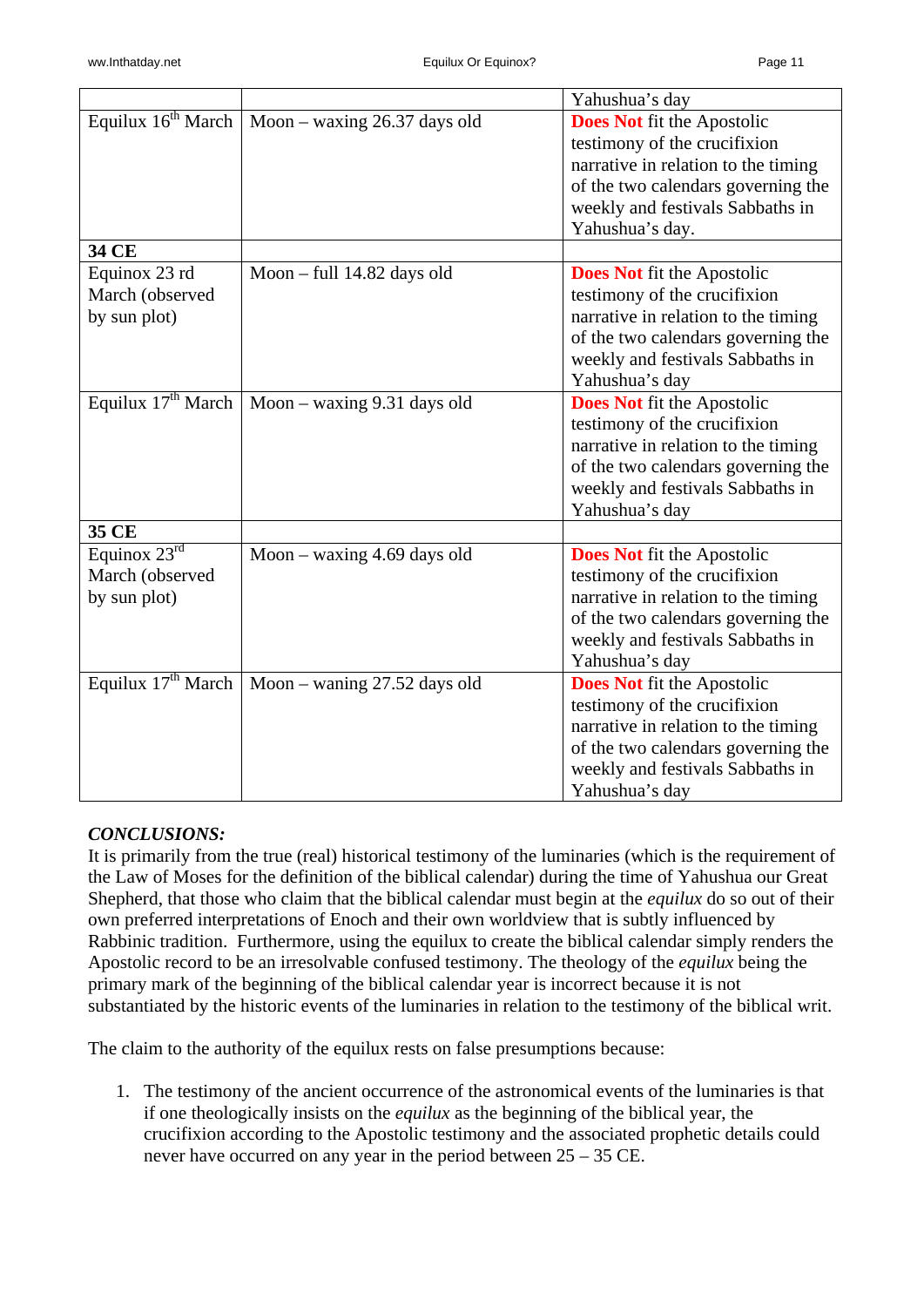|                                                      |                                                     | Yahushua's day                                                                                                                                                                                        |
|------------------------------------------------------|-----------------------------------------------------|-------------------------------------------------------------------------------------------------------------------------------------------------------------------------------------------------------|
| Equilux $16^{th}$ March                              | Moon – waxing 26.37 days old                        | <b>Does Not</b> fit the Apostolic<br>testimony of the crucifixion<br>narrative in relation to the timing<br>of the two calendars governing the<br>weekly and festivals Sabbaths in<br>Yahushua's day. |
| 34 CE                                                |                                                     |                                                                                                                                                                                                       |
| Equinox 23 rd<br>March (observed<br>by sun plot)     | Moon - full 14.82 days old                          | <b>Does Not</b> fit the Apostolic<br>testimony of the crucifixion<br>narrative in relation to the timing<br>of the two calendars governing the<br>weekly and festivals Sabbaths in<br>Yahushua's day  |
| Equilux $17^{\text{th}}$ March                       | Moon - waxing 9.31 days old                         | <b>Does Not</b> fit the Apostolic<br>testimony of the crucifixion<br>narrative in relation to the timing<br>of the two calendars governing the<br>weekly and festivals Sabbaths in<br>Yahushua's day  |
| 35 CE                                                |                                                     |                                                                                                                                                                                                       |
| Equinox $23^{rd}$<br>March (observed<br>by sun plot) | Moon – waxing $4.69$ days old                       | <b>Does Not</b> fit the Apostolic<br>testimony of the crucifixion<br>narrative in relation to the timing<br>of the two calendars governing the<br>weekly and festivals Sabbaths in<br>Yahushua's day  |
|                                                      | Equilux $17th$ March   Moon – waning 27.52 days old | <b>Does Not</b> fit the Apostolic<br>testimony of the crucifixion<br>narrative in relation to the timing<br>of the two calendars governing the<br>weekly and festivals Sabbaths in<br>Yahushua's day  |

#### *CONCLUSIONS:*

It is primarily from the true (real) historical testimony of the luminaries (which is the requirement of the Law of Moses for the definition of the biblical calendar) during the time of Yahushua our Great Shepherd, that those who claim that the biblical calendar must begin at the *equilux* do so out of their own preferred interpretations of Enoch and their own worldview that is subtly influenced by Rabbinic tradition. Furthermore, using the equilux to create the biblical calendar simply renders the Apostolic record to be an irresolvable confused testimony. The theology of the *equilux* being the primary mark of the beginning of the biblical calendar year is incorrect because it is not substantiated by the historic events of the luminaries in relation to the testimony of the biblical writ.

The claim to the authority of the equilux rests on false presumptions because:

1. The testimony of the ancient occurrence of the astronomical events of the luminaries is that if one theologically insists on the *equilux* as the beginning of the biblical year, the crucifixion according to the Apostolic testimony and the associated prophetic details could never have occurred on any year in the period between 25 – 35 CE.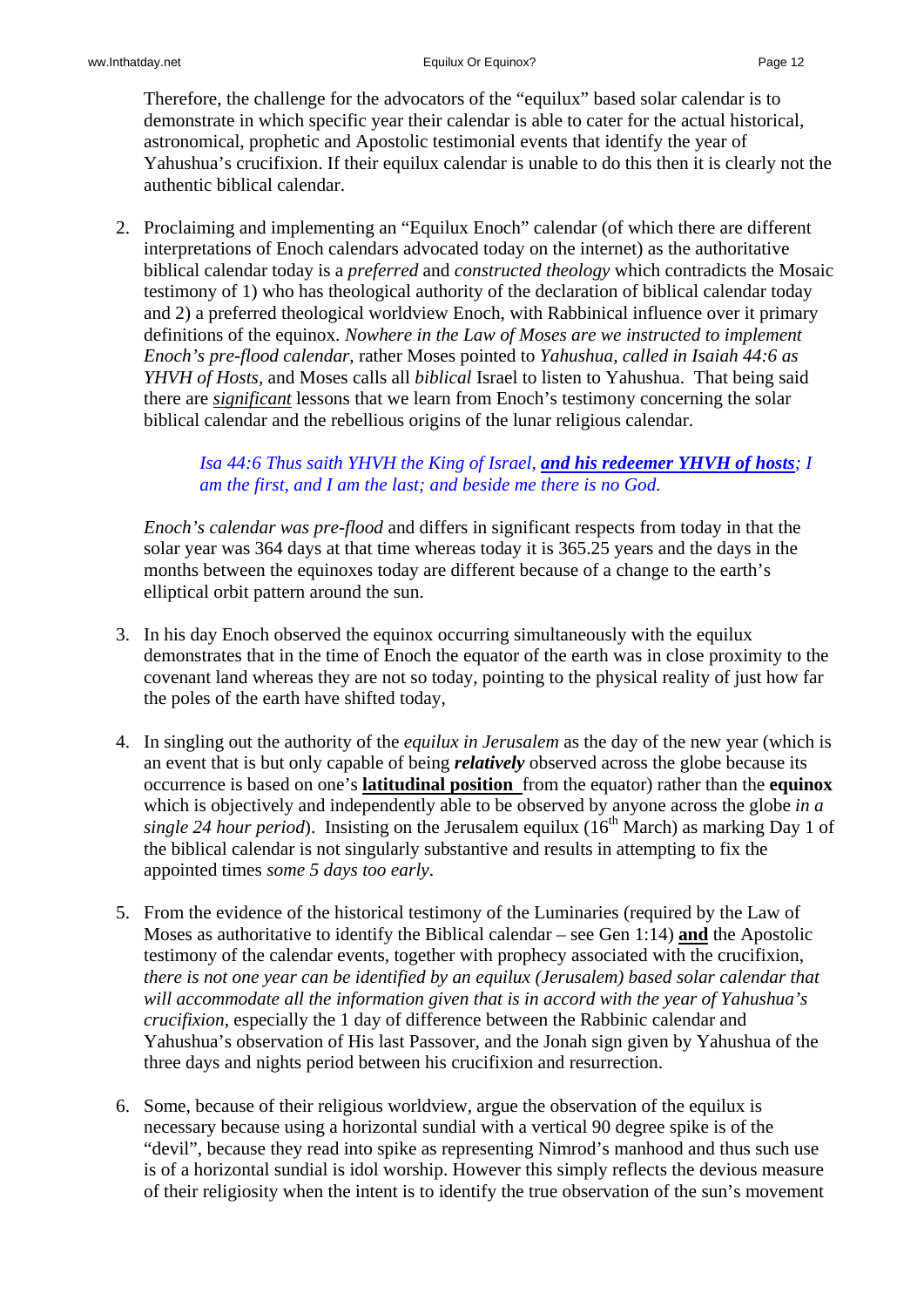Therefore, the challenge for the advocators of the "equilux" based solar calendar is to demonstrate in which specific year their calendar is able to cater for the actual historical, astronomical, prophetic and Apostolic testimonial events that identify the year of Yahushua's crucifixion. If their equilux calendar is unable to do this then it is clearly not the authentic biblical calendar.

2. Proclaiming and implementing an "Equilux Enoch" calendar (of which there are different interpretations of Enoch calendars advocated today on the internet) as the authoritative biblical calendar today is a *preferred* and *constructed theology* which contradicts the Mosaic testimony of 1) who has theological authority of the declaration of biblical calendar today and 2) a preferred theological worldview Enoch, with Rabbinical influence over it primary definitions of the equinox. *Nowhere in the Law of Moses are we instructed to implement Enoch's pre-flood calendar*, rather Moses pointed to *Yahushua, called in Isaiah 44:6 as YHVH of Hosts,* and Moses calls all *biblical* Israel to listen to Yahushua. That being said there are *significant* lessons that we learn from Enoch's testimony concerning the solar biblical calendar and the rebellious origins of the lunar religious calendar.

# *Isa 44:6 Thus saith YHVH the King of Israel, and his redeemer YHVH of hosts; I am the first, and I am the last; and beside me there is no God.*

*Enoch's calendar was pre-flood* and differs in significant respects from today in that the solar year was 364 days at that time whereas today it is 365.25 years and the days in the months between the equinoxes today are different because of a change to the earth's elliptical orbit pattern around the sun.

- 3. In his day Enoch observed the equinox occurring simultaneously with the equilux demonstrates that in the time of Enoch the equator of the earth was in close proximity to the covenant land whereas they are not so today, pointing to the physical reality of just how far the poles of the earth have shifted today,
- 4. In singling out the authority of the *equilux in Jerusalem* as the day of the new year (which is an event that is but only capable of being *relatively* observed across the globe because its occurrence is based on one's **latitudinal position** from the equator) rather than the **equinox** which is objectively and independently able to be observed by anyone across the globe *in a single 24 hour period*). Insisting on the Jerusalem equilux ( $16<sup>th</sup>$  March) as marking Day 1 of the biblical calendar is not singularly substantive and results in attempting to fix the appointed times *some 5 days too early*.
- 5. From the evidence of the historical testimony of the Luminaries (required by the Law of Moses as authoritative to identify the Biblical calendar – see Gen 1:14) **and** the Apostolic testimony of the calendar events, together with prophecy associated with the crucifixion, *there is not one year can be identified by an equilux (Jerusalem) based solar calendar that will accommodate all the information given that is in accord with the year of Yahushua's crucifixion*, especially the 1 day of difference between the Rabbinic calendar and Yahushua's observation of His last Passover, and the Jonah sign given by Yahushua of the three days and nights period between his crucifixion and resurrection.
- 6. Some, because of their religious worldview, argue the observation of the equilux is necessary because using a horizontal sundial with a vertical 90 degree spike is of the "devil", because they read into spike as representing Nimrod's manhood and thus such use is of a horizontal sundial is idol worship. However this simply reflects the devious measure of their religiosity when the intent is to identify the true observation of the sun's movement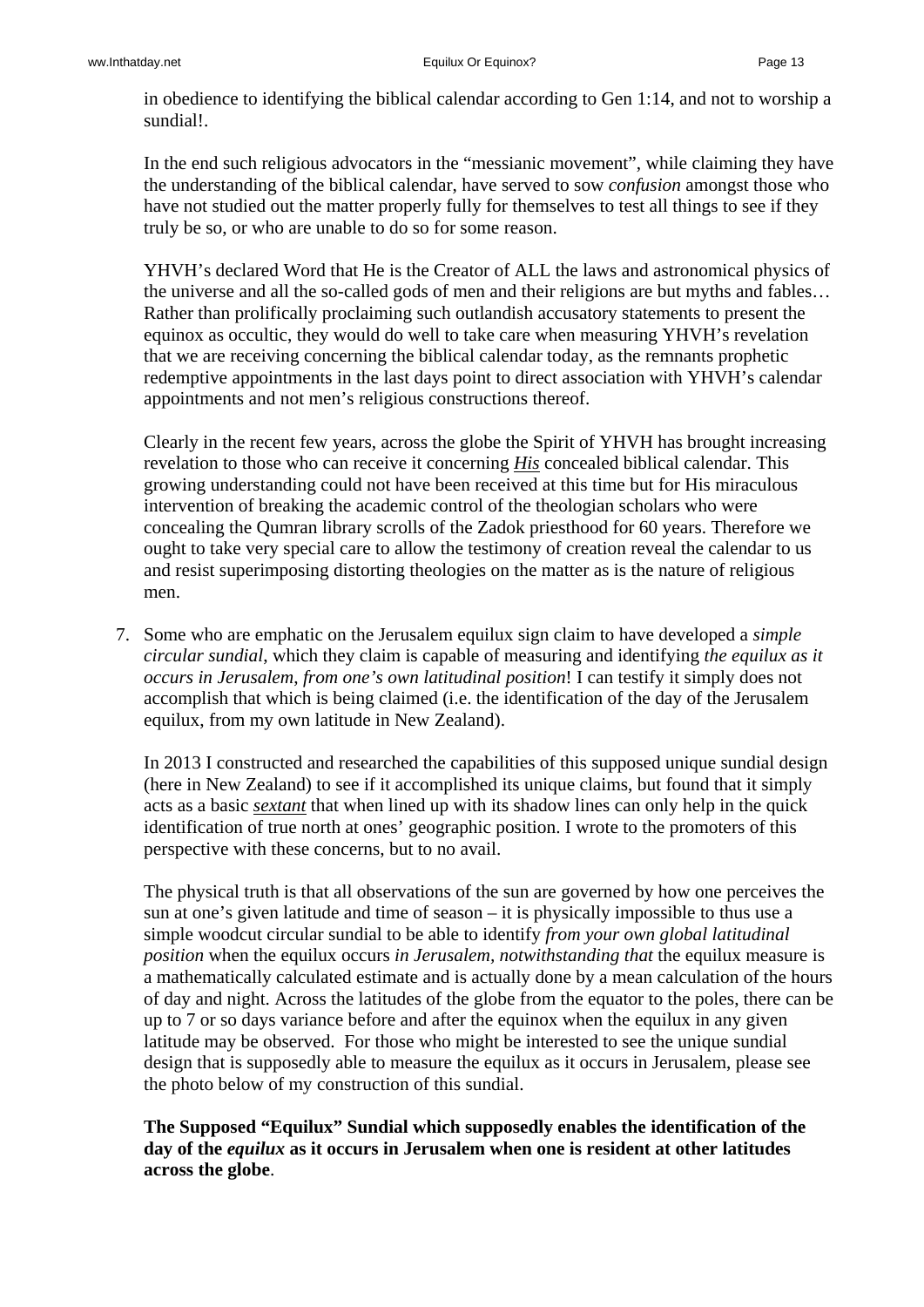in obedience to identifying the biblical calendar according to Gen 1:14, and not to worship a sundial!.

In the end such religious advocators in the "messianic movement", while claiming they have the understanding of the biblical calendar, have served to sow *confusion* amongst those who have not studied out the matter properly fully for themselves to test all things to see if they truly be so, or who are unable to do so for some reason.

YHVH's declared Word that He is the Creator of ALL the laws and astronomical physics of the universe and all the so-called gods of men and their religions are but myths and fables… Rather than prolifically proclaiming such outlandish accusatory statements to present the equinox as occultic, they would do well to take care when measuring YHVH's revelation that we are receiving concerning the biblical calendar today, as the remnants prophetic redemptive appointments in the last days point to direct association with YHVH's calendar appointments and not men's religious constructions thereof.

Clearly in the recent few years, across the globe the Spirit of YHVH has brought increasing revelation to those who can receive it concerning *His* concealed biblical calendar. This growing understanding could not have been received at this time but for His miraculous intervention of breaking the academic control of the theologian scholars who were concealing the Qumran library scrolls of the Zadok priesthood for 60 years. Therefore we ought to take very special care to allow the testimony of creation reveal the calendar to us and resist superimposing distorting theologies on the matter as is the nature of religious men.

7. Some who are emphatic on the Jerusalem equilux sign claim to have developed a *simple circular sundial*, which they claim is capable of measuring and identifying *the equilux as it occurs in Jerusalem*, *from one's own latitudinal position*! I can testify it simply does not accomplish that which is being claimed (i.e. the identification of the day of the Jerusalem equilux, from my own latitude in New Zealand).

In 2013 I constructed and researched the capabilities of this supposed unique sundial design (here in New Zealand) to see if it accomplished its unique claims, but found that it simply acts as a basic *sextant* that when lined up with its shadow lines can only help in the quick identification of true north at ones' geographic position. I wrote to the promoters of this perspective with these concerns, but to no avail.

The physical truth is that all observations of the sun are governed by how one perceives the sun at one's given latitude and time of season – it is physically impossible to thus use a simple woodcut circular sundial to be able to identify *from your own global latitudinal position* when the equilux occurs *in Jerusalem, notwithstanding that* the equilux measure is a mathematically calculated estimate and is actually done by a mean calculation of the hours of day and night. Across the latitudes of the globe from the equator to the poles, there can be up to 7 or so days variance before and after the equinox when the equilux in any given latitude may be observed. For those who might be interested to see the unique sundial design that is supposedly able to measure the equilux as it occurs in Jerusalem, please see the photo below of my construction of this sundial.

**The Supposed "Equilux" Sundial which supposedly enables the identification of the day of the** *equilux* **as it occurs in Jerusalem when one is resident at other latitudes across the globe**.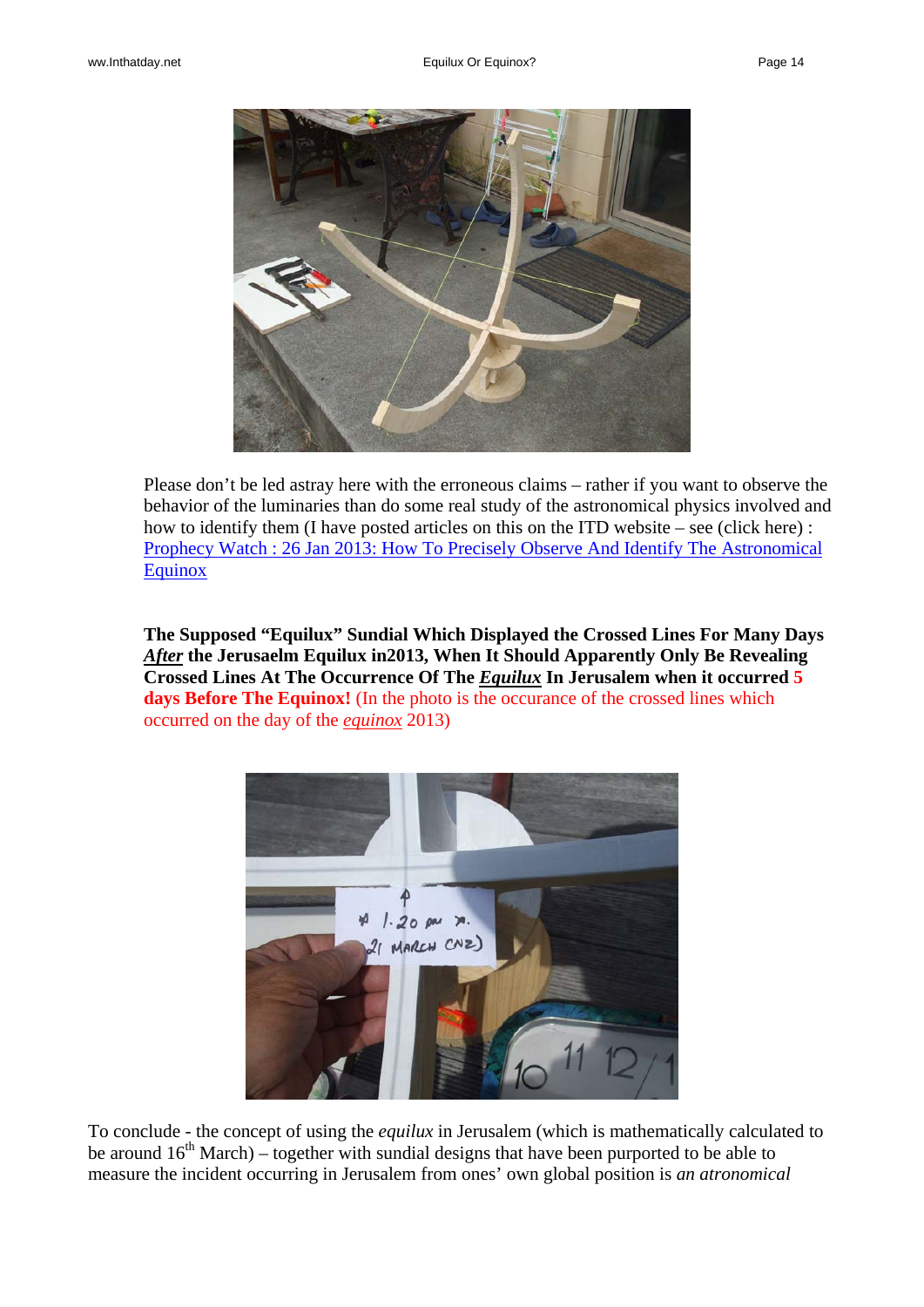

Please don't be led astray here with the erroneous claims – rather if you want to observe the behavior of the luminaries than do some real study of the astronomical physics involved and how to identify them (I have posted articles on this on the ITD website – see (click here) : [Prophecy Watch : 26 Jan 2013: How To Precisely Observe And Identify The Astronomical](http://www.inthatday.net/wp-content/uploads/2013/archive/Watch/HowToObserveEquinox.html)  **[Equinox](http://www.inthatday.net/wp-content/uploads/2013/archive/Watch/HowToObserveEquinox.html)** 

**The Supposed "Equilux" Sundial Which Displayed the Crossed Lines For Many Days**  *After* **the Jerusaelm Equilux in2013, When It Should Apparently Only Be Revealing Crossed Lines At The Occurrence Of The** *Equilux* **In Jerusalem when it occurred 5 days Before The Equinox!** (In the photo is the occurance of the crossed lines which occurred on the day of the *equinox* 2013)



To conclude - the concept of using the *equilux* in Jerusalem (which is mathematically calculated to be around  $16<sup>th</sup>$  March) – together with sundial designs that have been purported to be able to measure the incident occurring in Jerusalem from ones' own global position is *an atronomical*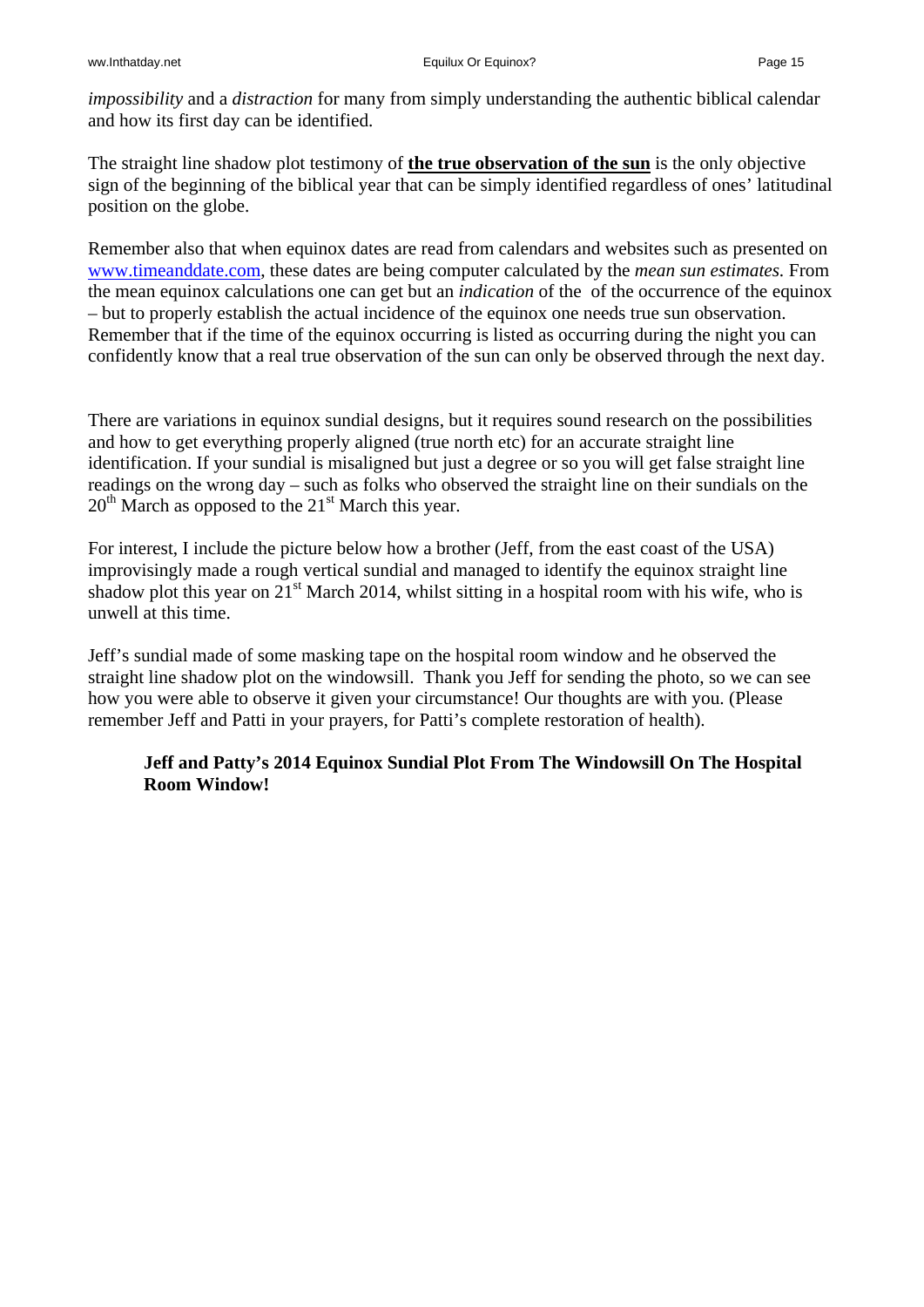*impossibility* and a *distraction* for many from simply understanding the authentic biblical calendar and how its first day can be identified.

The straight line shadow plot testimony of **the true observation of the sun** is the only objective sign of the beginning of the biblical year that can be simply identified regardless of ones' latitudinal position on the globe.

Remember also that when equinox dates are read from calendars and websites such as presented on [www.timeanddate.com](http://www.timeanddate.com/), these dates are being computer calculated by the *mean sun estimates.* From the mean equinox calculations one can get but an *indication* of the of the occurrence of the equinox – but to properly establish the actual incidence of the equinox one needs true sun observation. Remember that if the time of the equinox occurring is listed as occurring during the night you can confidently know that a real true observation of the sun can only be observed through the next day.

There are variations in equinox sundial designs, but it requires sound research on the possibilities and how to get everything properly aligned (true north etc) for an accurate straight line identification. If your sundial is misaligned but just a degree or so you will get false straight line readings on the wrong day – such as folks who observed the straight line on their sundials on the  $20<sup>th</sup>$  March as opposed to the  $21<sup>st</sup>$  March this year.

For interest, I include the picture below how a brother (Jeff, from the east coast of the USA) improvisingly made a rough vertical sundial and managed to identify the equinox straight line shadow plot this year on  $21<sup>st</sup>$  March 2014, whilst sitting in a hospital room with his wife, who is unwell at this time.

Jeff's sundial made of some masking tape on the hospital room window and he observed the straight line shadow plot on the windowsill. Thank you Jeff for sending the photo, so we can see how you were able to observe it given your circumstance! Our thoughts are with you. (Please remember Jeff and Patti in your prayers, for Patti's complete restoration of health).

## **Jeff and Patty's 2014 Equinox Sundial Plot From The Windowsill On The Hospital Room Window!**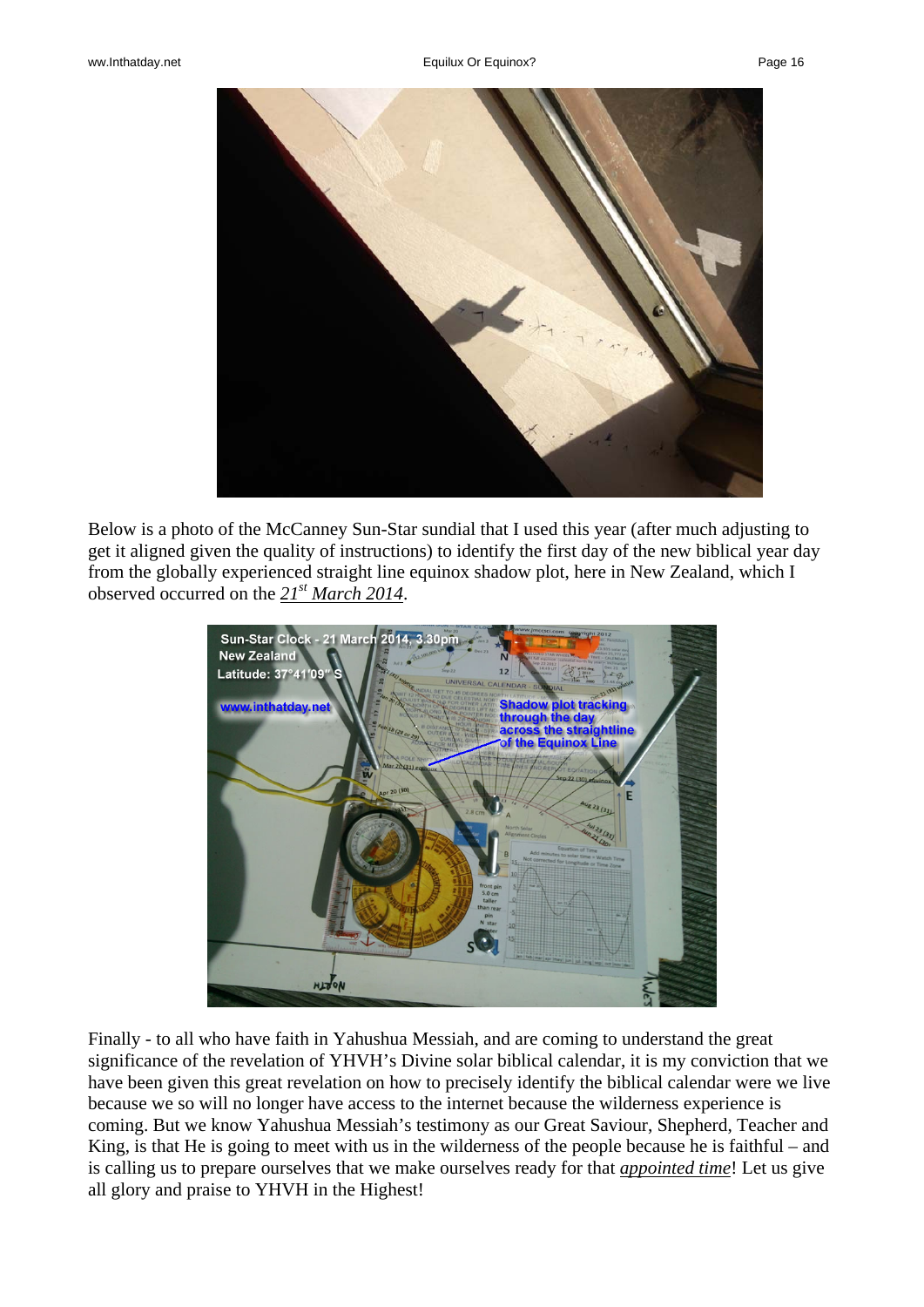

Below is a photo of the McCanney Sun-Star sundial that I used this year (after much adjusting to get it aligned given the quality of instructions) to identify the first day of the new biblical year day from the globally experienced straight line equinox shadow plot, here in New Zealand, which I observed occurred on the *21st March 2014*.



Finally - to all who have faith in Yahushua Messiah, and are coming to understand the great significance of the revelation of YHVH's Divine solar biblical calendar, it is my conviction that we have been given this great revelation on how to precisely identify the biblical calendar were we live because we so will no longer have access to the internet because the wilderness experience is coming. But we know Yahushua Messiah's testimony as our Great Saviour, Shepherd, Teacher and King, is that He is going to meet with us in the wilderness of the people because he is faithful – and is calling us to prepare ourselves that we make ourselves ready for that *appointed time*! Let us give all glory and praise to YHVH in the Highest!